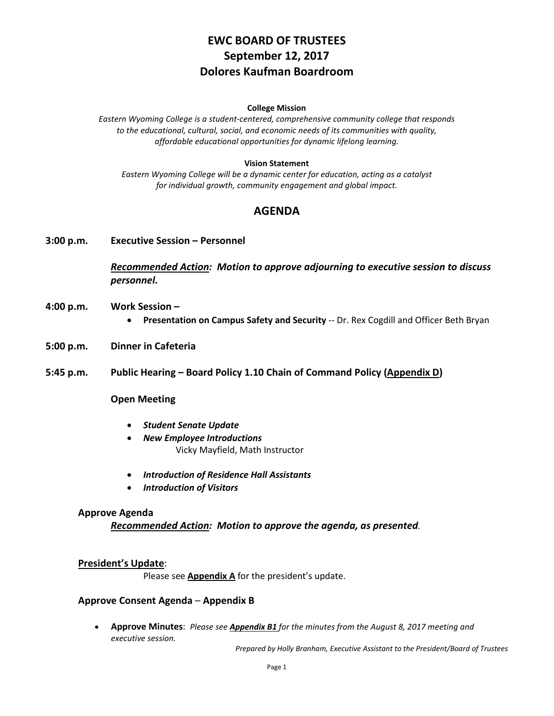# **EWC BOARD OF TRUSTEES September 12, 2017 Dolores Kaufman Boardroom**

#### **College Mission**

*Eastern Wyoming College is a student-centered, comprehensive community college that responds to the educational, cultural, social, and economic needs of its communities with quality, affordable educational opportunities for dynamic lifelong learning.*

#### **Vision Statement**

*Eastern Wyoming College will be a dynamic center for education, acting as a catalyst for individual growth, community engagement and global impact.*

### **AGENDA**

**3:00 p.m. Executive Session – Personnel**

*Recommended Action: Motion to approve adjourning to executive session to discuss personnel.*

- **4:00 p.m. Work Session –**
	- **Presentation on Campus Safety and Security** -- Dr. Rex Cogdill and Officer Beth Bryan
- **5:00 p.m. Dinner in Cafeteria**
- **5:45 p.m. Public Hearing – Board Policy 1.10 Chain of Command Policy (Appendix D)**

#### **Open Meeting**

- *Student Senate Update*
- *New Employee Introductions* Vicky Mayfield, Math Instructor
- *Introduction of Residence Hall Assistants*
- *Introduction of Visitors*

#### **Approve Agenda**

*Recommended Action: Motion to approve the agenda, as presented.*

#### **President's Update**:

Please see **Appendix A** for the president's update.

#### **Approve Consent Agenda** – **Appendix B**

• **Approve Minutes**: *Please see Appendix B1 for the minutes from the August 8, 2017 meeting and executive session.*

*Prepared by Holly Branham, Executive Assistant to the President/Board of Trustees*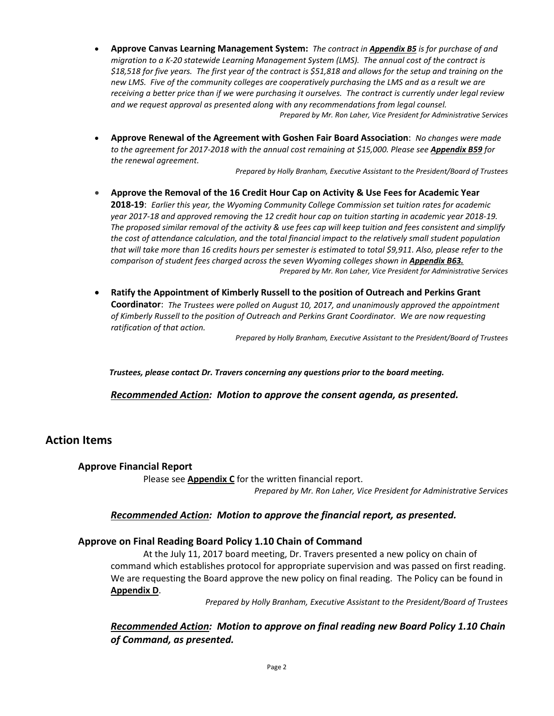- **Approve Canvas Learning Management System:** *The contract in Appendix B5 is for purchase of and migration to a K-20 statewide Learning Management System (LMS). The annual cost of the contract is \$18,518 for five years. The first year of the contract is \$51,818 and allows for the setup and training on the new LMS. Five of the community colleges are cooperatively purchasing the LMS and as a result we are receiving a better price than if we were purchasing it ourselves. The contract is currently under legal review and we request approval as presented along with any recommendations from legal counsel. Prepared by Mr. Ron Laher, Vice President for Administrative Services*
- **Approve Renewal of the Agreement with Goshen Fair Board Association**: *No changes were made to the agreement for 2017-2018 with the annual cost remaining at \$15,000. Please see Appendix B59 for the renewal agreement.*

*Prepared by Holly Branham, Executive Assistant to the President/Board of Trustees*

- **Approve the Removal of the 16 Credit Hour Cap on Activity & Use Fees for Academic Year 2018-19**: *Earlier this year, the Wyoming Community College Commission set tuition rates for academic year 2017-18 and approved removing the 12 credit hour cap on tuition starting in academic year 2018-19. The proposed similar removal of the activity & use fees cap will keep tuition and fees consistent and simplify the cost of attendance calculation, and the total financial impact to the relatively small student population that will take more than 16 credits hours per semester is estimated to total \$9,911. Also, please refer to the comparison of student fees charged across the seven Wyoming colleges shown in Appendix B63. Prepared by Mr. Ron Laher, Vice President for Administrative Services*
- **Ratify the Appointment of Kimberly Russell to the position of Outreach and Perkins Grant Coordinator**: *The Trustees were polled on August 10, 2017, and unanimously approved the appointment of Kimberly Russell to the position of Outreach and Perkins Grant Coordinator. We are now requesting ratification of that action.*

*Prepared by Holly Branham, Executive Assistant to the President/Board of Trustees*

*Trustees, please contact Dr. Travers concerning any questions prior to the board meeting.*

*Recommended Action: Motion to approve the consent agenda, as presented.*

# **Action Items**

#### **Approve Financial Report**

Please see **Appendix C** for the written financial report. *Prepared by Mr. Ron Laher, Vice President for Administrative Services*

#### *Recommended Action: Motion to approve the financial report, as presented.*

#### **Approve on Final Reading Board Policy 1.10 Chain of Command**

At the July 11, 2017 board meeting, Dr. Travers presented a new policy on chain of command which establishes protocol for appropriate supervision and was passed on first reading. We are requesting the Board approve the new policy on final reading. The Policy can be found in **Appendix D**.

*Prepared by Holly Branham, Executive Assistant to the President/Board of Trustees*

### *Recommended Action: Motion to approve on final reading new Board Policy 1.10 Chain of Command, as presented.*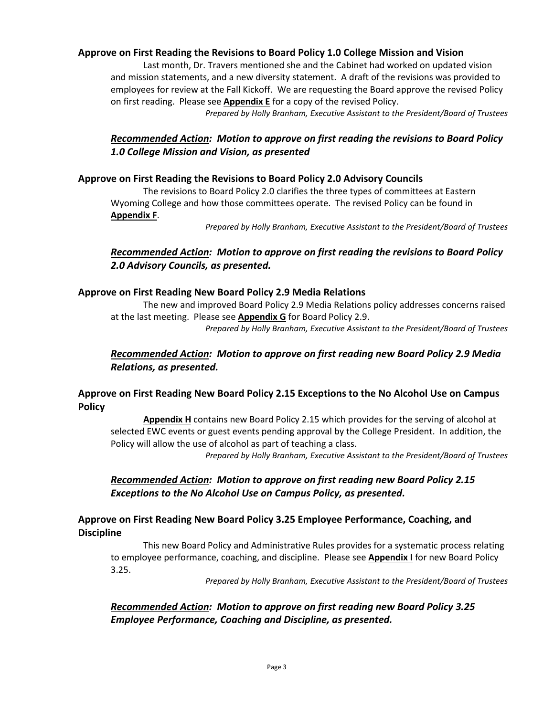### **Approve on First Reading the Revisions to Board Policy 1.0 College Mission and Vision**

Last month, Dr. Travers mentioned she and the Cabinet had worked on updated vision and mission statements, and a new diversity statement. A draft of the revisions was provided to employees for review at the Fall Kickoff. We are requesting the Board approve the revised Policy on first reading. Please see **Appendix E** for a copy of the revised Policy.

*Prepared by Holly Branham, Executive Assistant to the President/Board of Trustees*

### *Recommended Action: Motion to approve on first reading the revisions to Board Policy 1.0 College Mission and Vision, as presented*

### **Approve on First Reading the Revisions to Board Policy 2.0 Advisory Councils**

The revisions to Board Policy 2.0 clarifies the three types of committees at Eastern Wyoming College and how those committees operate. The revised Policy can be found in **Appendix F**.

*Prepared by Holly Branham, Executive Assistant to the President/Board of Trustees*

### *Recommended Action: Motion to approve on first reading the revisions to Board Policy 2.0 Advisory Councils, as presented.*

#### **Approve on First Reading New Board Policy 2.9 Media Relations**

The new and improved Board Policy 2.9 Media Relations policy addresses concerns raised at the last meeting. Please see **Appendix G** for Board Policy 2.9. *Prepared by Holly Branham, Executive Assistant to the President/Board of Trustees*

## *Recommended Action: Motion to approve on first reading new Board Policy 2.9 Media Relations, as presented.*

### **Approve on First Reading New Board Policy 2.15 Exceptions to the No Alcohol Use on Campus Policy**

**Appendix H** contains new Board Policy 2.15 which provides for the serving of alcohol at selected EWC events or guest events pending approval by the College President. In addition, the Policy will allow the use of alcohol as part of teaching a class.

*Prepared by Holly Branham, Executive Assistant to the President/Board of Trustees*

### *Recommended Action: Motion to approve on first reading new Board Policy 2.15 Exceptions to the No Alcohol Use on Campus Policy, as presented.*

### **Approve on First Reading New Board Policy 3.25 Employee Performance, Coaching, and Discipline**

This new Board Policy and Administrative Rules provides for a systematic process relating to employee performance, coaching, and discipline. Please see **Appendix I** for new Board Policy 3.25.

*Prepared by Holly Branham, Executive Assistant to the President/Board of Trustees*

### *Recommended Action: Motion to approve on first reading new Board Policy 3.25 Employee Performance, Coaching and Discipline, as presented.*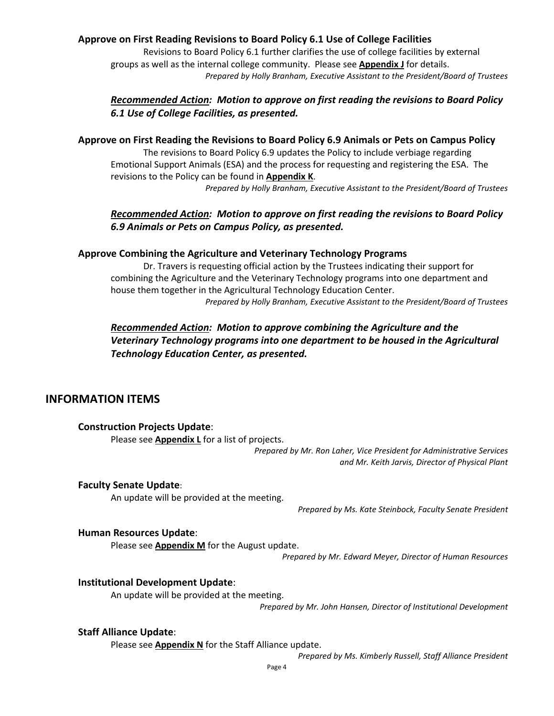### **Approve on First Reading Revisions to Board Policy 6.1 Use of College Facilities**

Revisions to Board Policy 6.1 further clarifies the use of college facilities by external groups as well as the internal college community. Please see **Appendix J** for details. *Prepared by Holly Branham, Executive Assistant to the President/Board of Trustees*

### *Recommended Action: Motion to approve on first reading the revisions to Board Policy 6.1 Use of College Facilities, as presented.*

### **Approve on First Reading the Revisions to Board Policy 6.9 Animals or Pets on Campus Policy**

The revisions to Board Policy 6.9 updates the Policy to include verbiage regarding Emotional Support Animals (ESA) and the process for requesting and registering the ESA. The revisions to the Policy can be found in **Appendix K**.

*Prepared by Holly Branham, Executive Assistant to the President/Board of Trustees*

### *Recommended Action: Motion to approve on first reading the revisions to Board Policy 6.9 Animals or Pets on Campus Policy, as presented.*

#### **Approve Combining the Agriculture and Veterinary Technology Programs**

Dr. Travers is requesting official action by the Trustees indicating their support for combining the Agriculture and the Veterinary Technology programs into one department and house them together in the Agricultural Technology Education Center.

*Prepared by Holly Branham, Executive Assistant to the President/Board of Trustees*

# *Recommended Action: Motion to approve combining the Agriculture and the Veterinary Technology programs into one department to be housed in the Agricultural Technology Education Center, as presented.*

# **INFORMATION ITEMS**

### **Construction Projects Update**:

Please see **Appendix L** for a list of projects.

*Prepared by Mr. Ron Laher, Vice President for Administrative Services and Mr. Keith Jarvis, Director of Physical Plant*

#### **Faculty Senate Update**:

An update will be provided at the meeting.

*Prepared by Ms. Kate Steinbock, Faculty Senate President*

#### **Human Resources Update**:

Please see **Appendix M** for the August update.

*Prepared by Mr. Edward Meyer, Director of Human Resources*

#### **Institutional Development Update**:

An update will be provided at the meeting.

*Prepared by Mr. John Hansen, Director of Institutional Development*

#### **Staff Alliance Update**:

Please see **Appendix N** for the Staff Alliance update.

*Prepared by Ms. Kimberly Russell, Staff Alliance President*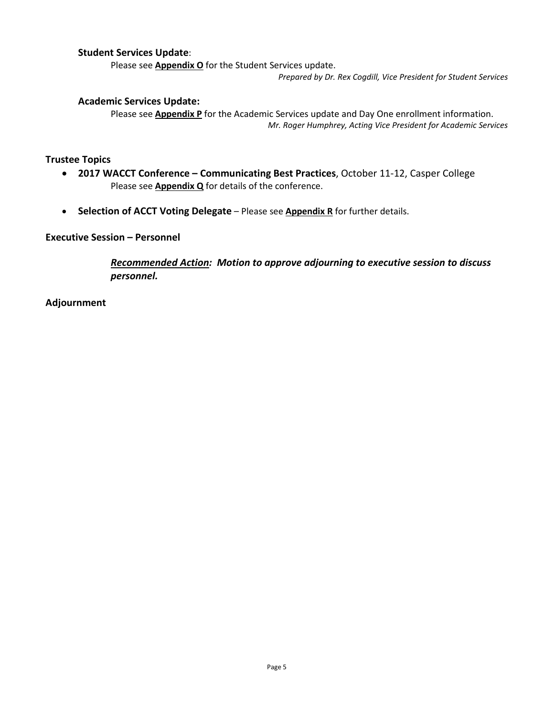### **Student Services Update**:

Please see **Appendix O** for the Student Services update.

*Prepared by Dr. Rex Cogdill, Vice President for Student Services*

### **Academic Services Update:**

Please see **Appendix P** for the Academic Services update and Day One enrollment information. *Mr. Roger Humphrey, Acting Vice President for Academic Services*

#### **Trustee Topics**

- **2017 WACCT Conference – Communicating Best Practices**, October 11-12, Casper College Please see **Appendix Q** for details of the conference.
- **Selection of ACCT Voting Delegate** Please see **Appendix R** for further details.

### **Executive Session – Personnel**

*Recommended Action: Motion to approve adjourning to executive session to discuss personnel.*

**Adjournment**